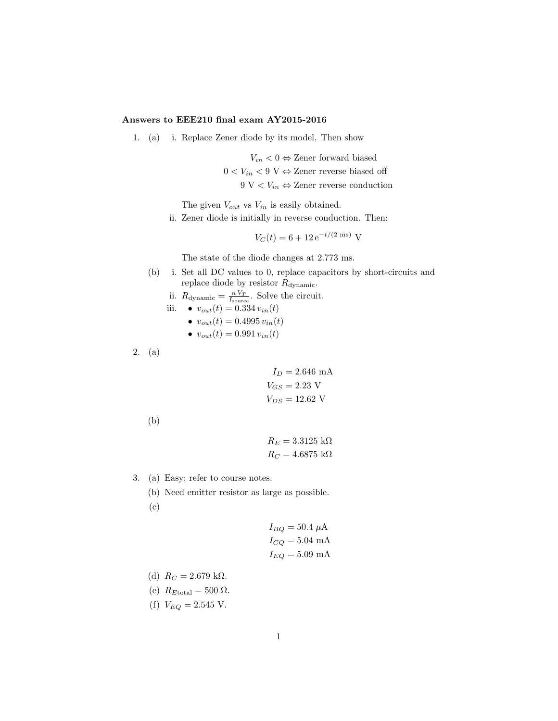## Answers to EEE210 final exam AY2015-2016

1. (a) i. Replace Zener diode by its model. Then show

 $V_{in}$  < 0  $\Leftrightarrow$  Zener forward biased

$$
0 < V_{in} < 9
$$
 V  $\Leftrightarrow$  Zener reverse biased off

9 V  $\lt V_{in} \Leftrightarrow$  Zener reverse conduction

The given  $V_{out}$  vs  $V_{in}$  is easily obtained.

ii. Zener diode is initially in reverse conduction. Then:

$$
V_C(t) = 6 + 12 e^{-t/(2 \text{ ms})} \text{ V}
$$

The state of the diode changes at 2.773 ms.

- (b) i. Set all DC values to 0, replace capacitors by short-circuits and replace diode by resistor  $R_{\rm dynamic}.$ 
	- ii.  $R_{\text{dynamic}} = \frac{n V_T}{I_{\text{source}}}$ . Solve the circuit.

iii. • 
$$
v_{out}(t) = 0.334 v_{in}(t)
$$

$$
\bullet \;\; v_{out}(t)=0.4995\,v_{in}(t)
$$

$$
\bullet \ v_{out}(t) = 0.991 \, v_{in}(t)
$$

2. (a)

 $I_D = 2.646 \text{ mA}$  $V_{GS} = 2.23$  V  $V_{DS} = 12.62$  V

(b)

```
R_E = 3.3125 \text{ k}\OmegaR_C=4.6875~\mathrm{k}\Omega
```
- 3. (a) Easy; refer to course notes.
	- (b) Need emitter resistor as large as possible. (c)

$$
I_{BQ} = 50.4 \mu \text{A}
$$

$$
I_{CQ} = 5.04 \text{ mA}
$$

$$
I_{EQ} = 5.09 \text{ mA}
$$

- (d)  $R_C = 2.679 \text{ k}\Omega$ .
- (e)  $R_{\text{Etotal}} = 500 \Omega$ .
- (f)  $V_{EQ} = 2.545$  V.